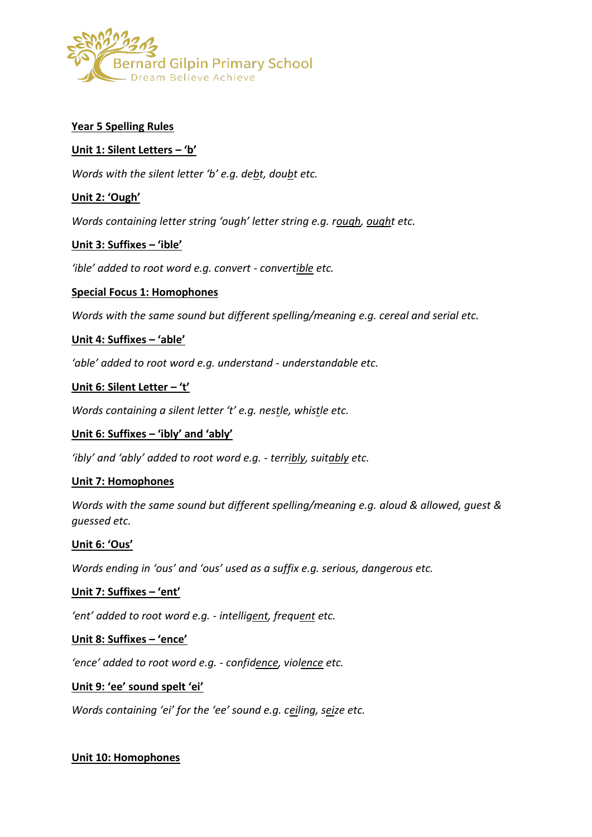

## **Year 5 Spelling Rules**

### **Unit 1: Silent Letters – 'b'**

*Words with the silent letter 'b' e.g. debt, doubt etc.*

## **Unit 2: 'Ough'**

*Words containing letter string 'ough' letter string e.g. rough, ought etc.*

#### **Unit 3: Suffixes – 'ible'**

*'ible' added to root word e.g. convert - convertible etc.*

#### **Special Focus 1: Homophones**

*Words with the same sound but different spelling/meaning e.g. cereal and serial etc.*

## **Unit 4: Suffixes – 'able'**

*'able' added to root word e.g. understand - understandable etc.*

## **Unit 6: Silent Letter – 't'**

*Words containing a silent letter 't' e.g. nestle, whistle etc.*

#### **Unit 6: Suffixes – 'ibly' and 'ably'**

*'ibly' and 'ably' added to root word e.g. - terribly, suitably etc.*

#### **Unit 7: Homophones**

*Words with the same sound but different spelling/meaning e.g. aloud & allowed, guest & guessed etc.*

#### **Unit 6: 'Ous'**

*Words ending in 'ous' and 'ous' used as a suffix e.g. serious, dangerous etc.*

#### **Unit 7: Suffixes – 'ent'**

*'ent' added to root word e.g. - intelligent, frequent etc.*

#### **Unit 8: Suffixes – 'ence'**

*'ence' added to root word e.g. - confidence, violence etc.*

#### **Unit 9: 'ee' sound spelt 'ei'**

*Words containing 'ei' for the 'ee' sound e.g. ceiling, seize etc.*

#### **Unit 10: Homophones**